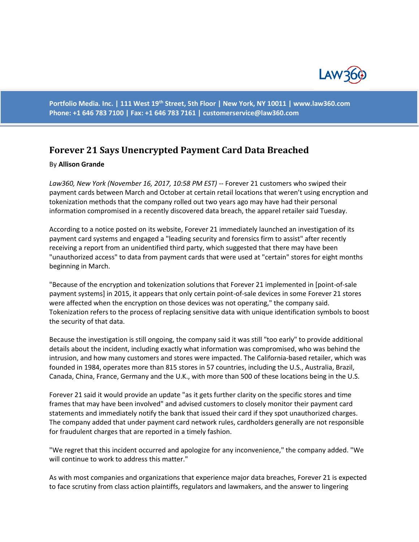

**Portfolio Media. Inc. | 111 West 19th Street, 5th Floor | New York, NY 10011 | www.law360.com Phone: +1 646 783 7100 | Fax: +1 646 783 7161 | [customerservice@law360.com](mailto:customerservice@law360.com)**

## **Forever 21 Says Unencrypted Payment Card Data Breached**

## By **Allison Grande**

*Law360, New York (November 16, 2017, 10:58 PM EST)* -- Forever 21 customers who swiped their payment cards between March and October at certain retail locations that weren't using encryption and tokenization methods that the company rolled out two years ago may have had their personal information compromised in a recently discovered data breach, the apparel retailer said Tuesday.

According to a notice posted on its website, Forever 21 immediately launched an investigation of its payment card systems and engaged a "leading security and forensics firm to assist" after recently receiving a report from an unidentified third party, which suggested that there may have been "unauthorized access" to data from payment cards that were used at "certain" stores for eight months beginning in March.

"Because of the encryption and tokenization solutions that Forever 21 implemented in [point-of-sale payment systems] in 2015, it appears that only certain point-of-sale devices in some Forever 21 stores were affected when the encryption on those devices was not operating," the company said. Tokenization refers to the process of replacing sensitive data with unique identification symbols to boost the security of that data.

Because the investigation is still ongoing, the company said it was still "too early" to provide additional details about the incident, including exactly what information was compromised, who was behind the intrusion, and how many customers and stores were impacted. The California-based retailer, which was founded in 1984, operates more than 815 stores in 57 countries, including the U.S., Australia, Brazil, Canada, China, France, Germany and the U.K., with more than 500 of these locations being in the U.S.

Forever 21 said it would provide an update "as it gets further clarity on the specific stores and time frames that may have been involved" and advised customers to closely monitor their payment card statements and immediately notify the bank that issued their card if they spot unauthorized charges. The company added that under payment card network rules, cardholders generally are not responsible for fraudulent charges that are reported in a timely fashion.

"We regret that this incident occurred and apologize for any inconvenience," the company added. "We will continue to work to address this matter."

As with most companies and organizations that experience major data breaches, Forever 21 is expected to face scrutiny from class action plaintiffs, regulators and lawmakers, and the answer to lingering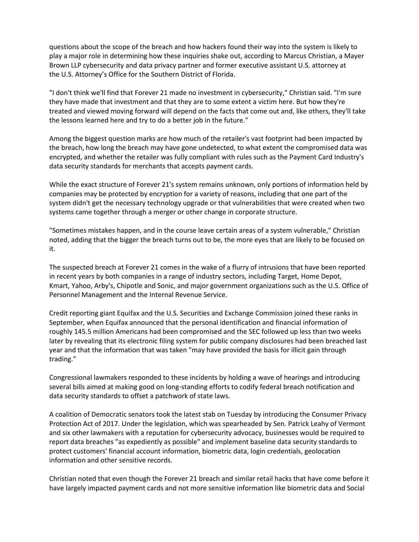questions about the scope of the breach and how hackers found their way into the system is likely to play a major role in determining how these inquiries shake out, according to Marcus Christian, a Mayer Brown LLP cybersecurity and data privacy partner and former executive assistant U.S. attorney at the U.S. Attorney's Office for the Southern District of Florida.

"I don't think we'll find that Forever 21 made no investment in cybersecurity," Christian said. "I'm sure they have made that investment and that they are to some extent a victim here. But how they're treated and viewed moving forward will depend on the facts that come out and, like others, they'll take the lessons learned here and try to do a better job in the future."

Among the biggest question marks are how much of the retailer's vast footprint had been impacted by the breach, how long the breach may have gone undetected, to what extent the compromised data was encrypted, and whether the retailer was fully compliant with rules such as the Payment Card Industry's data security standards for merchants that accepts payment cards.

While the exact structure of Forever 21's system remains unknown, only portions of information held by companies may be protected by encryption for a variety of reasons, including that one part of the system didn't get the necessary technology upgrade or that vulnerabilities that were created when two systems came together through a merger or other change in corporate structure.

"Sometimes mistakes happen, and in the course leave certain areas of a system vulnerable," Christian noted, adding that the bigger the breach turns out to be, the more eyes that are likely to be focused on it.

The suspected breach at Forever 21 comes in the wake of a flurry of intrusions that have been reported in recent years by both companies in a range of industry sectors, including Target, Home Depot, Kmart, Yahoo, Arby's, Chipotle and Sonic, and major government organizations such as the U.S. Office of Personnel Management and the Internal Revenue Service.

Credit reporting giant Equifax and the U.S. Securities and Exchange Commission joined these ranks in September, when Equifax announced that the personal identification and financial information of roughly 145.5 million Americans had been compromised and the SEC followed up less than two weeks later by revealing that its electronic filing system for public company disclosures had been breached last year and that the information that was taken "may have provided the basis for illicit gain through trading."

Congressional lawmakers responded to these incidents by holding a wave of hearings and introducing several bills aimed at making good on long-standing efforts to codify federal breach notification and data security standards to offset a patchwork of state laws.

A coalition of Democratic senators took the latest stab on Tuesday by introducing the Consumer Privacy Protection Act of 2017. Under the legislation, which was spearheaded by Sen. Patrick Leahy of Vermont and six other lawmakers with a reputation for cybersecurity advocacy, businesses would be required to report data breaches "as expediently as possible" and implement baseline data security standards to protect customers' financial account information, biometric data, login credentials, geolocation information and other sensitive records.

Christian noted that even though the Forever 21 breach and similar retail hacks that have come before it have largely impacted payment cards and not more sensitive information like biometric data and Social